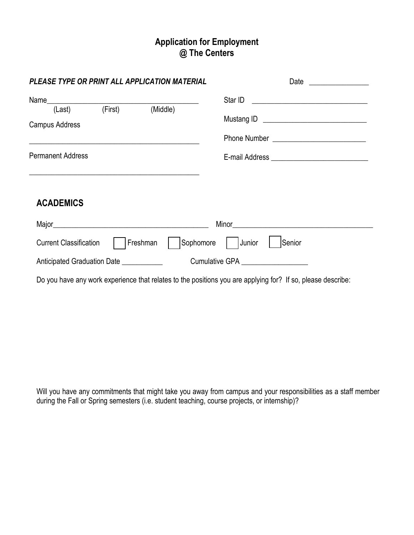# **Application for Employment @ The Centers**

|                                                             | PLEASE TYPE OR PRINT ALL APPLICATION MATERIAL | Date<br><u> 1999 - John Harry Harry Harry Harry Harry Harry Harry Harry Harry Harry Harry Harry Harry Harry Harry Harry Harry Harry Harry Harry Harry Harry Harry Harry Harry Harry Harry Harry Harry Harry Harry Harry Harry Harry Harr</u> |
|-------------------------------------------------------------|-----------------------------------------------|----------------------------------------------------------------------------------------------------------------------------------------------------------------------------------------------------------------------------------------------|
| (Last)<br><b>Campus Address</b><br><b>Permanent Address</b> | (First) (Middle)                              |                                                                                                                                                                                                                                              |
| <b>ACADEMICS</b>                                            |                                               |                                                                                                                                                                                                                                              |
|                                                             |                                               |                                                                                                                                                                                                                                              |
| <b>Current Classification</b>                               | Freshman                                      | Sophomore   Junior<br>Senior                                                                                                                                                                                                                 |
| Anticipated Graduation Date ____________                    |                                               | Cumulative GPA <b>Example 20</b>                                                                                                                                                                                                             |
|                                                             |                                               | Do you have any work experience that relates to the positions you are applying for? If so, please describe:                                                                                                                                  |

Will you have any commitments that might take you away from campus and your responsibilities as a staff member during the Fall or Spring semesters (i.e. student teaching, course projects, or internship)?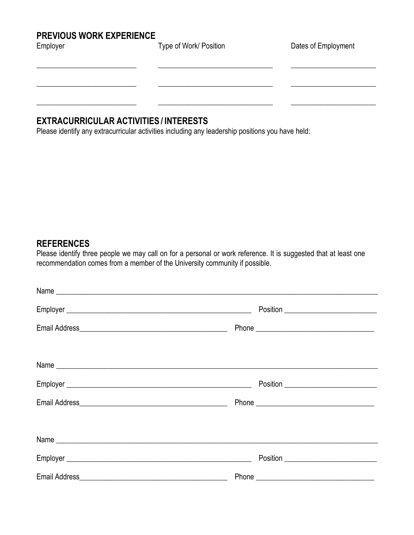# **PREVIOUS WORK EXPERIENCE**

| nployer |  |  |
|---------|--|--|
|         |  |  |

Type of Work/ Position Dates of Employment

\_\_\_\_\_\_\_\_\_\_\_\_\_\_\_\_\_\_\_\_\_\_\_\_\_\_\_ \_\_\_\_\_\_\_\_\_\_\_\_\_\_\_\_\_\_\_\_\_\_\_\_\_\_\_\_\_\_\_ \_\_\_\_\_\_\_\_\_\_\_\_\_\_\_\_\_\_\_\_\_\_\_

\_\_\_\_\_\_\_\_\_\_\_\_\_\_\_\_\_\_\_\_\_\_\_\_\_\_\_ \_\_\_\_\_\_\_\_\_\_\_\_\_\_\_\_\_\_\_\_\_\_\_\_\_\_\_\_\_\_\_ \_\_\_\_\_\_\_\_\_\_\_\_\_\_\_\_\_\_\_\_\_\_\_

\_\_\_\_\_\_\_\_\_\_\_\_\_\_\_\_\_\_\_\_\_\_\_\_\_\_\_ \_\_\_\_\_\_\_\_\_\_\_\_\_\_\_\_\_\_\_\_\_\_\_\_\_\_\_\_\_\_\_ \_\_\_\_\_\_\_\_\_\_\_\_\_\_\_\_\_\_\_\_\_\_\_

### **EXTRACURRICULAR ACTIVITIES / INTERESTS**

Please identify any extracurricular activities including any leadership positions you have held:

#### **REFERENCES**

Please identify three people we may call on for a personal or work reference. It is suggested that at least one recommendation comes from a member of the University community if possible.

| Position ___________________________ |
|--------------------------------------|
|                                      |
|                                      |
|                                      |
|                                      |
|                                      |
|                                      |
|                                      |
|                                      |
|                                      |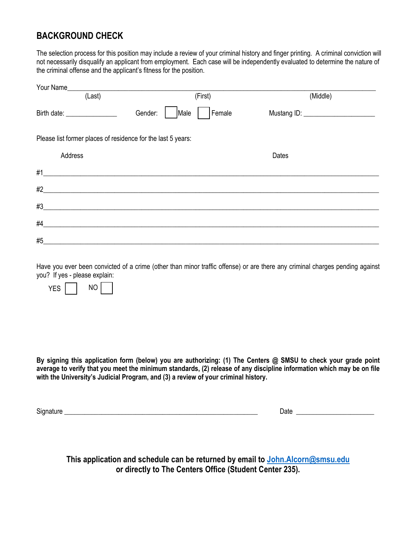## **BACKGROUND CHECK**

The selection process for this position may include a review of your criminal history and finger printing. A criminal conviction will not necessarily disqualify an applicant from employment. Each case will be independently evaluated to determine the nature of the criminal offense and the applicant's fitness for the position.

| (Last)                                                       | (First)         | (Middle) |
|--------------------------------------------------------------|-----------------|----------|
| Birth date: __________________                               | Gender:<br>Male | Female   |
| Please list former places of residence for the last 5 years: |                 |          |
| Address                                                      |                 | Dates    |
| #1                                                           |                 |          |
| #2                                                           |                 |          |
| #3                                                           |                 |          |
| #4                                                           |                 |          |
| #5                                                           |                 |          |

Have you ever been convicted of a crime (other than minor traffic offense) or are there any criminal charges pending against you? If yes - please explain:



**By signing this application form (below) you are authorizing: (1) The Centers @ SMSU to check your grade point average to verify that you meet the minimum standards, (2) release of any discipline information which may be on file with the University's Judicial Program, and (3) a review of your criminal history.**

Signature **Example 2** and the set of the set of the set of the set of the set of the set of the set of the set of the set of the set of the set of the set of the set of the set of the set of the set of the set of the set o

**This application and schedule can be returned by email to [John.Alcorn@smsu.edu](mailto:John.Alcorn@smsu.edu) or directly to The Centers Office (Student Center 235).**